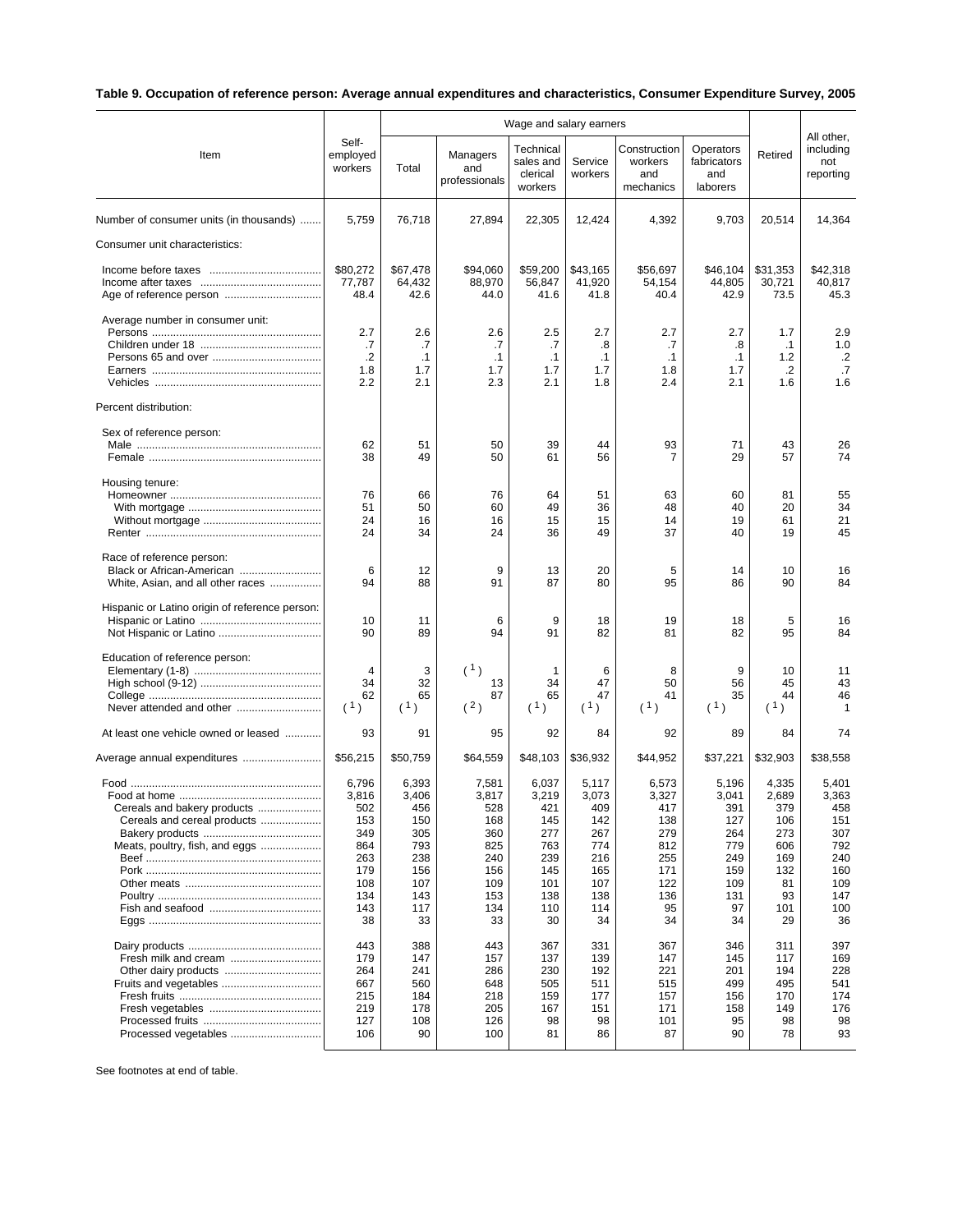## **Table 9. Occupation of reference person: Average annual expenditures and characteristics, Consumer Expenditure Survey, 2005**

|                                                |                              | Wage and salary earners |                                  |                                               |                    |                                             |                                             |                |                                             |
|------------------------------------------------|------------------------------|-------------------------|----------------------------------|-----------------------------------------------|--------------------|---------------------------------------------|---------------------------------------------|----------------|---------------------------------------------|
| Item                                           | Self-<br>employed<br>workers | Total                   | Managers<br>and<br>professionals | Technical<br>sales and<br>clerical<br>workers | Service<br>workers | Construction<br>workers<br>and<br>mechanics | Operators<br>fabricators<br>and<br>laborers | Retired        | All other,<br>including<br>not<br>reporting |
| Number of consumer units (in thousands)        | 5,759                        | 76,718                  | 27,894                           | 22,305                                        | 12,424             | 4,392                                       | 9,703                                       | 20,514         | 14,364                                      |
| Consumer unit characteristics:                 |                              |                         |                                  |                                               |                    |                                             |                                             |                |                                             |
|                                                | \$80,272                     | \$67,478                | \$94,060                         | \$59,200                                      | \$43,165           | \$56,697                                    | \$46,104                                    | \$31,353       | \$42,318                                    |
|                                                | 77,787<br>48.4               | 64,432<br>42.6          | 88,970<br>44.0                   | 56,847<br>41.6                                | 41,920<br>41.8     | 54,154<br>40.4                              | 44,805<br>42.9                              | 30,721<br>73.5 | 40,817<br>45.3                              |
| Average number in consumer unit:               |                              |                         |                                  |                                               |                    |                                             |                                             |                |                                             |
|                                                | 2.7                          | 2.6                     | 2.6                              | 2.5                                           | 2.7                | 2.7                                         | 2.7                                         | 1.7            | 2.9                                         |
|                                                | .7                           | .7                      | .7                               | .7                                            | .8                 | .7                                          | .8                                          | $\cdot$ 1      | 1.0                                         |
|                                                | .2                           | $\cdot$ 1               | $\cdot$ 1                        | $\cdot$ 1                                     | $\cdot$ 1          | $\cdot$ 1                                   | $\cdot$ 1                                   | $1.2$          | $\cdot$                                     |
|                                                | 1.8<br>2.2                   | 1.7<br>2.1              | 1.7<br>2.3                       | 1.7<br>2.1                                    | 1.7<br>1.8         | 1.8<br>2.4                                  | 1.7<br>2.1                                  | $\cdot$<br>1.6 | .7<br>1.6                                   |
| Percent distribution:                          |                              |                         |                                  |                                               |                    |                                             |                                             |                |                                             |
| Sex of reference person:                       |                              |                         |                                  |                                               |                    |                                             |                                             |                |                                             |
|                                                | 62<br>38                     | 51<br>49                | 50<br>50                         | 39<br>61                                      | 44<br>56           | 93<br>7                                     | 71<br>29                                    | 43<br>57       | 26<br>74                                    |
| Housing tenure:                                |                              |                         |                                  |                                               |                    |                                             |                                             |                |                                             |
|                                                | 76                           | 66                      | 76                               | 64                                            | 51                 | 63                                          | 60                                          | 81             | 55                                          |
|                                                | 51                           | 50                      | 60                               | 49                                            | 36                 | 48                                          | 40                                          | 20             | 34                                          |
|                                                | 24                           | 16                      | 16                               | 15                                            | 15                 | 14                                          | 19                                          | 61             | 21                                          |
|                                                | 24                           | 34                      | 24                               | 36                                            | 49                 | 37                                          | 40                                          | 19             | 45                                          |
| Race of reference person:                      |                              |                         |                                  |                                               |                    |                                             |                                             |                |                                             |
| Black or African-American                      | 6                            | 12                      | 9                                | 13                                            | 20                 | 5                                           | 14                                          | 10             | 16                                          |
| White, Asian, and all other races              | 94                           | 88                      | 91                               | 87                                            | 80                 | 95                                          | 86                                          | 90             | 84                                          |
| Hispanic or Latino origin of reference person: |                              |                         |                                  |                                               |                    |                                             |                                             |                |                                             |
|                                                | 10                           | 11                      | 6                                | 9                                             | 18                 | 19                                          | 18                                          | 5              | 16                                          |
|                                                | 90                           | 89                      | 94                               | 91                                            | 82                 | 81                                          | 82                                          | 95             | 84                                          |
| Education of reference person:                 |                              |                         |                                  |                                               |                    |                                             |                                             |                |                                             |
|                                                | $\overline{4}$               | 3                       | (1)                              | 1                                             | 6                  | 8                                           | 9                                           | 10             | 11                                          |
|                                                | 34                           | 32                      | 13                               | 34                                            | 47                 | 50                                          | 56                                          | 45             | 43                                          |
| Never attended and other                       | 62<br>(1)                    | 65<br>(1)               | 87<br>(2)                        | 65<br>(1)                                     | 47<br>(1)          | 41<br>(1)                                   | 35<br>(1)                                   | 44<br>(1)      | 46<br>1                                     |
| At least one vehicle owned or leased           | 93                           | 91                      | 95                               | 92                                            | 84                 | 92                                          | 89                                          | 84             | 74                                          |
| Average annual expenditures                    | \$56,215                     | \$50,759                | \$64,559                         | \$48,103                                      | \$36,932           | \$44,952                                    | \$37,221                                    | \$32,903       | \$38,558                                    |
|                                                | 6,796                        | 6,393                   | 7,581                            | 6,037                                         | 5,117              | 6,573                                       | 5,196                                       | 4,335          | 5,401                                       |
|                                                | 3,816                        | 3,406                   | 3,817                            | 3,219                                         | 3,073              | 3,327                                       | 3,041                                       | 2,689          | 3,363                                       |
| Cereals and bakery products                    | 502                          | 456                     | 528                              | 421                                           | 409                | 417                                         | 391                                         | 379            | 458                                         |
| Cereals and cereal products                    | 153                          | 150                     | 168                              | 145                                           | 142                | 138                                         | 127                                         | 106            | 151                                         |
|                                                | 349                          | 305                     | 360                              | 277                                           | 267                | 279                                         | 264                                         | 273            | 307                                         |
| Meats, poultry, fish, and eggs                 | 864                          | 793                     | 825                              | 763                                           | 774                | 812                                         | 779                                         | 606            | 792                                         |
|                                                | 263                          | 238                     | 240                              | 239                                           | 216                | 255                                         | 249                                         | 169            | 240                                         |
|                                                | 179                          | 156                     | 156                              | 145                                           | 165                | 171                                         | 159                                         | 132            | 160                                         |
|                                                | 108                          | 107                     | 109                              | 101                                           | 107                | 122                                         | 109                                         | 81             | 109                                         |
|                                                | 134                          | 143                     | 153                              | 138                                           | 138                | 136                                         | 131                                         | 93             | 147                                         |
|                                                | 143<br>38                    | 117<br>33               | 134<br>33                        | 110<br>30                                     | 114<br>34          | 95<br>34                                    | 97<br>34                                    | 101<br>29      | 100<br>36                                   |
|                                                | 443                          | 388                     | 443                              | 367                                           | 331                | 367                                         | 346                                         | 311            | 397                                         |
|                                                | 179                          | 147                     | 157                              | 137                                           | 139                | 147                                         | 145                                         | 117            | 169                                         |
|                                                | 264                          | 241                     | 286                              | 230                                           | 192                | 221                                         | 201                                         | 194            | 228                                         |
| Fruits and vegetables                          | 667                          | 560                     | 648                              | 505                                           | 511                | 515                                         | 499                                         | 495            | 541                                         |
|                                                | 215                          | 184                     | 218                              | 159                                           | 177                | 157                                         | 156                                         | 170            | 174                                         |
|                                                | 219                          | 178                     | 205                              | 167                                           | 151                | 171                                         | 158                                         | 149            | 176                                         |
|                                                | 127                          | 108                     | 126                              | 98                                            | 98                 | 101                                         | 95                                          | 98             | 98                                          |
| Processed vegetables                           | 106                          | 90                      | 100                              | 81                                            | 86                 | 87                                          | 90                                          | 78             | 93                                          |

See footnotes at end of table.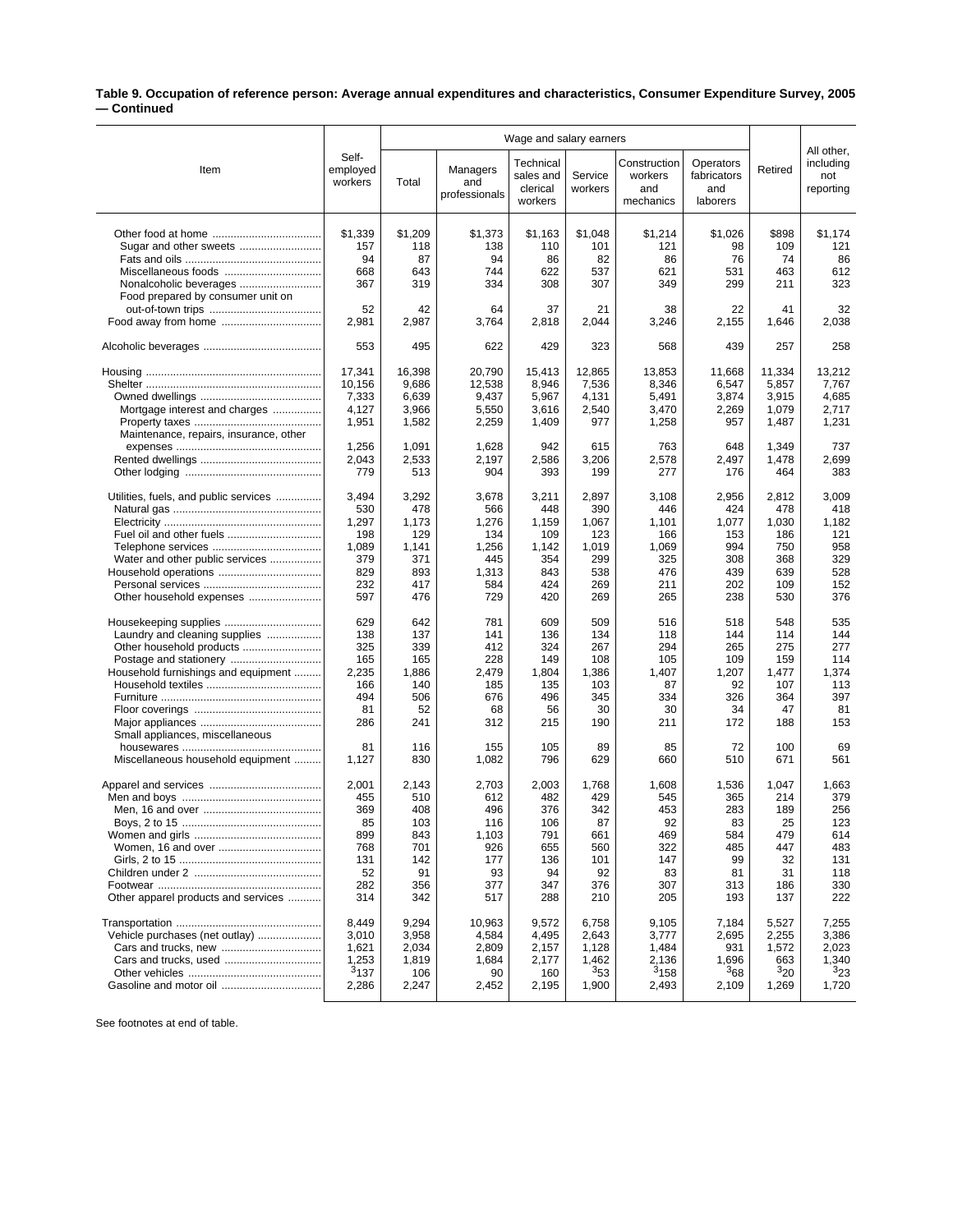## **Table 9. Occupation of reference person: Average annual expenditures and characteristics, Consumer Expenditure Survey, 2005 — Continued**

|                                                                      |                              | Wage and salary earners |                                         |                                               |                     |                                             |                                             |                       |                                             |
|----------------------------------------------------------------------|------------------------------|-------------------------|-----------------------------------------|-----------------------------------------------|---------------------|---------------------------------------------|---------------------------------------------|-----------------------|---------------------------------------------|
| Item                                                                 | Self-<br>employed<br>workers | Total                   | <b>Managers</b><br>and<br>professionals | Technical<br>sales and<br>clerical<br>workers | Service<br>workers  | Construction<br>workers<br>and<br>mechanics | Operators<br>fabricators<br>and<br>laborers | Retired               | All other,<br>including<br>not<br>reporting |
|                                                                      | \$1.339                      | \$1,209                 | \$1,373                                 | \$1,163                                       | \$1,048             | \$1,214                                     | \$1,026                                     | \$898                 | \$1,174                                     |
| Sugar and other sweets                                               | 157                          | 118                     | 138                                     | 110                                           | 101                 | 121                                         | 98                                          | 109                   | 121                                         |
|                                                                      | 94                           | 87                      | 94                                      | 86                                            | 82                  | 86                                          | 76                                          | 74                    | 86                                          |
| Miscellaneous foods                                                  | 668                          | 643                     | 744                                     | 622                                           | 537                 | 621                                         | 531                                         | 463                   | 612                                         |
|                                                                      | 367                          | 319                     | 334                                     | 308                                           | 307                 | 349                                         | 299                                         | 211                   | 323                                         |
| Food prepared by consumer unit on                                    | 52<br>2,981                  | 42<br>2,987             | 64<br>3,764                             | 37<br>2,818                                   | 21<br>2,044         | 38<br>3,246                                 | 22<br>2,155                                 | 41<br>1,646           | 32<br>2,038                                 |
|                                                                      | 553                          | 495                     | 622                                     | 429                                           | 323                 | 568                                         | 439                                         | 257                   | 258                                         |
|                                                                      | 17,341                       | 16,398                  | 20,790                                  | 15,413                                        | 12,865              | 13,853                                      | 11,668                                      | 11,334                | 13,212                                      |
|                                                                      | 10,156                       | 9,686                   | 12,538                                  | 8,946                                         | 7,536               | 8,346                                       | 6,547                                       | 5,857                 | 7,767                                       |
|                                                                      | 7,333                        | 6,639                   | 9,437                                   | 5,967                                         | 4,131               | 5,491                                       | 3,874                                       | 3,915                 | 4,685                                       |
| Mortgage interest and charges                                        | 4,127                        | 3,966                   | 5,550                                   | 3,616                                         | 2,540               | 3,470                                       | 2,269                                       | 1,079                 | 2,717                                       |
|                                                                      | 1,951                        | 1,582                   | 2,259                                   | 1,409                                         | 977                 | 1,258                                       | 957                                         | 1,487                 | 1,231                                       |
| Maintenance, repairs, insurance, other                               | 1,256<br>2,043<br>779        | 1,091<br>2,533<br>513   | 1,628<br>2,197<br>904                   | 942<br>2,586<br>393                           | 615<br>3,206<br>199 | 763<br>2,578<br>277                         | 648<br>2,497<br>176                         | 1,349<br>1,478<br>464 | 737<br>2,699<br>383                         |
| Utilities, fuels, and public services                                | 3,494                        | 3,292                   | 3,678                                   | 3,211                                         | 2,897               | 3,108                                       | 2,956                                       | 2,812                 | 3,009                                       |
|                                                                      | 530                          | 478                     | 566                                     | 448                                           | 390                 | 446                                         | 424                                         | 478                   | 418                                         |
|                                                                      | 1,297                        | 1,173                   | 1,276                                   | 1,159                                         | 1,067               | 1,101                                       | 1,077                                       | 1,030                 | 1,182                                       |
|                                                                      | 198                          | 129                     | 134                                     | 109                                           | 123                 | 166                                         | 153                                         | 186                   | 121                                         |
|                                                                      | 1,089                        | 1,141                   | 1,256                                   | 1,142                                         | 1,019               | 1,069                                       | 994                                         | 750                   | 958                                         |
| Water and other public services                                      | 379                          | 371                     | 445                                     | 354                                           | 299                 | 325                                         | 308                                         | 368                   | 329                                         |
|                                                                      | 829                          | 893                     | 1,313                                   | 843                                           | 538                 | 476                                         | 439                                         | 639                   | 528                                         |
|                                                                      | 232                          | 417                     | 584                                     | 424                                           | 269                 | 211                                         | 202                                         | 109                   | 152                                         |
|                                                                      | 597                          | 476                     | 729                                     | 420                                           | 269                 | 265                                         | 238                                         | 530                   | 376                                         |
| Housekeeping supplies                                                | 629                          | 642                     | 781                                     | 609                                           | 509                 | 516                                         | 518                                         | 548                   | 535                                         |
| Laundry and cleaning supplies                                        | 138                          | 137                     | 141                                     | 136                                           | 134                 | 118                                         | 144                                         | 114                   | 144                                         |
|                                                                      | 325                          | 339                     | 412                                     | 324                                           | 267                 | 294                                         | 265                                         | 275                   | 277                                         |
|                                                                      | 165                          | 165                     | 228                                     | 149                                           | 108                 | 105                                         | 109                                         | 159                   | 114                                         |
| Household furnishings and equipment                                  | 2,235                        | 1,886                   | 2,479                                   | 1,804                                         | 1,386               | 1,407                                       | 1,207                                       | 1,477                 | 1,374                                       |
|                                                                      | 166                          | 140                     | 185                                     | 135                                           | 103                 | 87                                          | 92                                          | 107                   | 113                                         |
|                                                                      | 494                          | 506                     | 676                                     | 496                                           | 345                 | 334                                         | 326                                         | 364                   | 397                                         |
|                                                                      | 81                           | 52                      | 68                                      | 56                                            | 30                  | 30                                          | 34                                          | 47                    | 81                                          |
|                                                                      | 286                          | 241                     | 312                                     | 215                                           | 190                 | 211                                         | 172                                         | 188                   | 153                                         |
| Small appliances, miscellaneous<br>Miscellaneous household equipment | 81<br>1,127                  | 116<br>830              | 155<br>1,082                            | 105<br>796                                    | 89<br>629           | 85<br>660                                   | 72<br>510                                   | 100<br>671            | 69<br>561                                   |
|                                                                      | 2,001                        | 2,143                   | 2,703                                   | 2,003                                         | 1,768               | 1,608                                       | 1,536                                       | 1.047                 | 1,663                                       |
|                                                                      | 455                          | 510                     | 612                                     | 482                                           | 429                 | 545                                         | 365                                         | 214                   | 379                                         |
|                                                                      | 369                          | 408                     | 496                                     | 376                                           | 342                 | 453                                         | 283                                         | 189                   | 256                                         |
|                                                                      | 85                           | 103                     | 116                                     | 106                                           | 87                  | 92                                          | 83                                          | 25                    | 123                                         |
|                                                                      | 899                          | 843                     | 1,103                                   | 791                                           | 661                 | 469                                         | 584                                         | 479                   | 614                                         |
|                                                                      | 768                          | 701                     | 926                                     | 655                                           | 560                 | 322                                         | 485                                         | 447                   | 483                                         |
|                                                                      | 131                          | 142                     | 177                                     | 136                                           | 101                 | 147                                         | 99                                          | 32                    | 131                                         |
|                                                                      | 52                           | 91                      | 93                                      | 94                                            | 92                  | 83                                          | 81                                          | 31                    | 118                                         |
|                                                                      | 282                          | 356                     | 377                                     | 347                                           | 376                 | 307                                         | 313                                         | 186                   | 330                                         |
| Other apparel products and services                                  | 314                          | 342                     | 517                                     | 288                                           | 210                 | 205                                         | 193                                         | 137                   | 222                                         |
|                                                                      | 8,449                        | 9,294                   | 10,963                                  | 9,572                                         | 6,758               | 9,105                                       | 7,184                                       | 5,527                 | 7,255                                       |
| Vehicle purchases (net outlay)                                       | 3,010                        | 3,958                   | 4,584                                   | 4,495                                         | 2,643               | 3,777                                       | 2,695                                       | 2,255                 | 3,386                                       |
|                                                                      | 1,621                        | 2,034                   | 2,809                                   | 2,157                                         | 1,128               | 1,484                                       | 931                                         | 1,572                 | 2,023                                       |
|                                                                      | 1,253                        | 1,819                   | 1,684                                   | 2,177                                         | 1,462               | 2,136                                       | 1,696                                       | 663                   | 1,340                                       |
|                                                                      | 3137                         | 106                     | 90                                      | 160                                           | 353                 | $3_{158}$                                   | 368                                         | 320                   | 323                                         |
| Gasoline and motor oil                                               | 2,286                        | 2,247                   | 2,452                                   | 2,195                                         | 1,900               | 2,493                                       | 2,109                                       | 1,269                 | 1,720                                       |

See footnotes at end of table.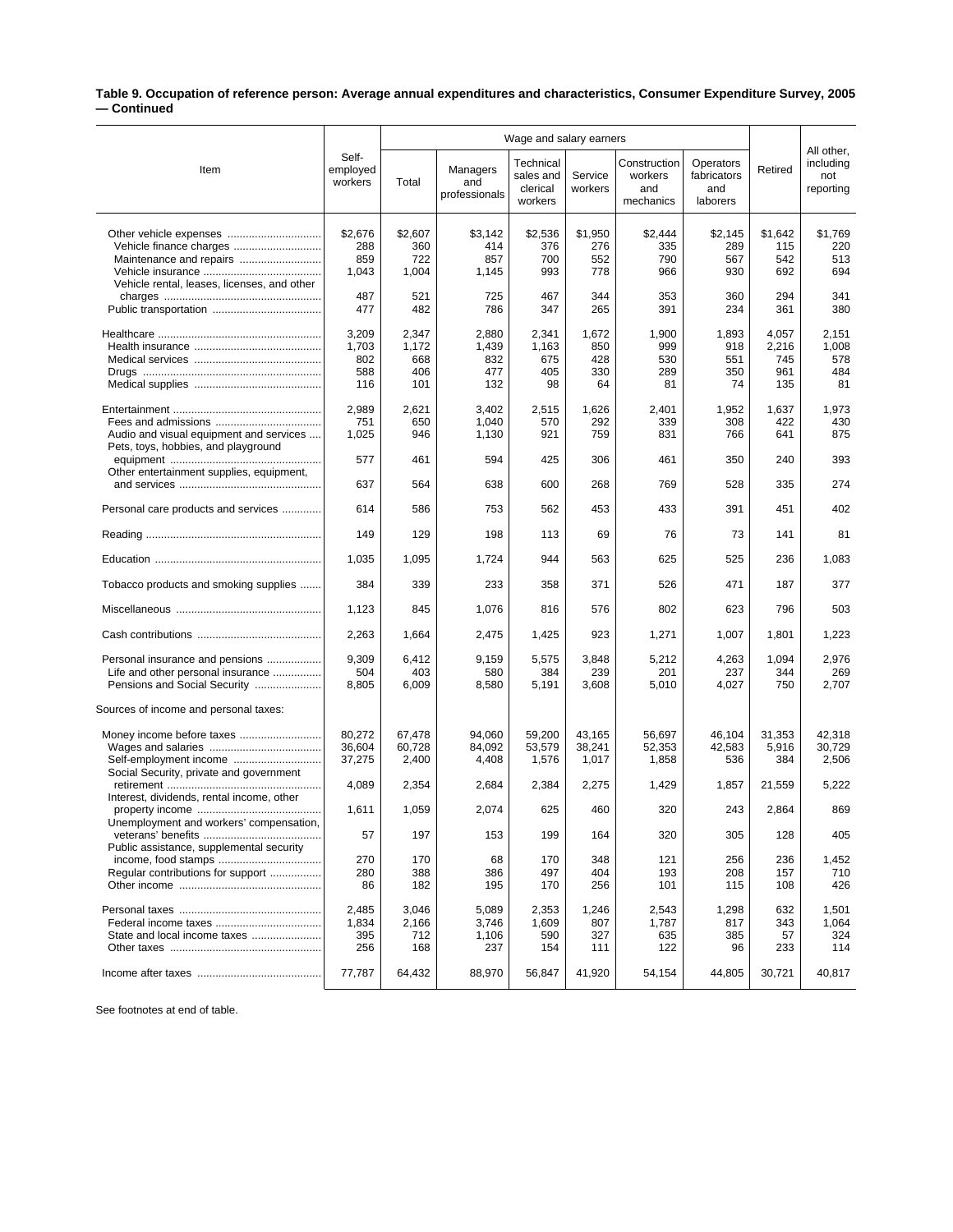## **Table 9. Occupation of reference person: Average annual expenditures and characteristics, Consumer Expenditure Survey, 2005 — Continued**

|                                                                                                      |                                     | Wage and salary earners             |                                     |                                               |                                  |                                             |                                             |                                     |                                             |
|------------------------------------------------------------------------------------------------------|-------------------------------------|-------------------------------------|-------------------------------------|-----------------------------------------------|----------------------------------|---------------------------------------------|---------------------------------------------|-------------------------------------|---------------------------------------------|
| Item                                                                                                 | Self-<br>employed<br>workers        | Total                               | Managers<br>and<br>professionals    | Technical<br>sales and<br>clerical<br>workers | Service<br>workers               | Construction<br>workers<br>and<br>mechanics | Operators<br>fabricators<br>and<br>laborers | Retired                             | All other,<br>including<br>not<br>reporting |
| Vehicle finance charges<br>Maintenance and repairs<br>Vehicle rental, leases, licenses, and other    | \$2,676<br>288<br>859<br>1,043      | \$2,607<br>360<br>722<br>1,004      | \$3.142<br>414<br>857<br>1,145      | \$2,536<br>376<br>700<br>993                  | \$1,950<br>276<br>552<br>778     | \$2,444<br>335<br>790<br>966                | \$2,145<br>289<br>567<br>930                | \$1,642<br>115<br>542<br>692        | \$1,769<br>220<br>513<br>694                |
|                                                                                                      | 487<br>477                          | 521<br>482                          | 725<br>786                          | 467<br>347                                    | 344<br>265                       | 353<br>391                                  | 360<br>234                                  | 294<br>361                          | 341<br>380                                  |
|                                                                                                      | 3,209<br>1,703<br>802<br>588<br>116 | 2,347<br>1,172<br>668<br>406<br>101 | 2,880<br>1,439<br>832<br>477<br>132 | 2,341<br>1,163<br>675<br>405<br>98            | 1,672<br>850<br>428<br>330<br>64 | 1,900<br>999<br>530<br>289<br>81            | 1,893<br>918<br>551<br>350<br>74            | 4,057<br>2,216<br>745<br>961<br>135 | 2,151<br>1,008<br>578<br>484<br>81          |
| Audio and visual equipment and services<br>Pets, toys, hobbies, and playground                       | 2,989<br>751<br>1,025               | 2,621<br>650<br>946                 | 3,402<br>1,040<br>1,130             | 2,515<br>570<br>921                           | 1,626<br>292<br>759              | 2,401<br>339<br>831                         | 1,952<br>308<br>766                         | 1,637<br>422<br>641                 | 1,973<br>430<br>875                         |
| Other entertainment supplies, equipment,                                                             | 577<br>637                          | 461<br>564                          | 594<br>638                          | 425<br>600                                    | 306<br>268                       | 461<br>769                                  | 350<br>528                                  | 240<br>335                          | 393<br>274                                  |
| Personal care products and services                                                                  | 614                                 | 586                                 | 753                                 | 562                                           | 453                              | 433                                         | 391                                         | 451                                 | 402                                         |
|                                                                                                      | 149                                 | 129                                 | 198                                 | 113                                           | 69                               | 76                                          | 73                                          | 141                                 | 81                                          |
|                                                                                                      | 1,035                               | 1,095                               | 1,724                               | 944                                           | 563                              | 625                                         | 525                                         | 236                                 | 1,083                                       |
| Tobacco products and smoking supplies                                                                | 384                                 | 339                                 | 233                                 | 358                                           | 371                              | 526                                         | 471                                         | 187                                 | 377                                         |
|                                                                                                      | 1,123                               | 845                                 | 1,076                               | 816                                           | 576                              | 802                                         | 623                                         | 796                                 | 503                                         |
|                                                                                                      | 2,263                               | 1,664                               | 2,475                               | 1,425                                         | 923                              | 1,271                                       | 1,007                                       | 1,801                               | 1,223                                       |
| Personal insurance and pensions<br>Life and other personal insurance<br>Pensions and Social Security | 9,309<br>504<br>8,805               | 6,412<br>403<br>6,009               | 9,159<br>580<br>8,580               | 5,575<br>384<br>5,191                         | 3,848<br>239<br>3,608            | 5,212<br>201<br>5,010                       | 4,263<br>237<br>4,027                       | 1,094<br>344<br>750                 | 2,976<br>269<br>2,707                       |
| Sources of income and personal taxes:                                                                |                                     |                                     |                                     |                                               |                                  |                                             |                                             |                                     |                                             |
| Self-employment income<br>Social Security, private and government                                    | 80,272<br>36,604<br>37,275          | 67,478<br>60,728<br>2,400           | 94,060<br>84,092<br>4,408           | 59,200<br>53,579<br>1,576                     | 43,165<br>38,241<br>1,017        | 56,697<br>52,353<br>1,858                   | 46,104<br>42,583<br>536                     | 31,353<br>5,916<br>384              | 42,318<br>30,729<br>2,506                   |
| Interest, dividends, rental income, other                                                            | 4,089                               | 2,354                               | 2,684                               | 2,384                                         | 2,275                            | 1,429                                       | 1,857                                       | 21,559                              | 5,222                                       |
| Unemployment and workers' compensation,                                                              | 1,611                               | 1,059                               | 2,074                               | 625                                           | 460                              | 320                                         | 243                                         | 2,864                               | 869                                         |
| Public assistance, supplemental security                                                             | 57                                  | 197                                 | 153                                 | 199                                           | 164                              | 320                                         | 305                                         | 128                                 | 405                                         |
| Regular contributions for support                                                                    | 270<br>280<br>86                    | 170<br>388<br>182                   | 68<br>386<br>195                    | 170<br>497<br>170                             | 348<br>404<br>256                | 121<br>193<br>101                           | 256<br>208<br>115                           | 236<br>157<br>108                   | 1,452<br>710<br>426                         |
| State and local income taxes                                                                         | 2,485<br>1,834<br>395<br>256        | 3,046<br>2,166<br>712<br>168        | 5,089<br>3,746<br>1,106<br>237      | 2,353<br>1,609<br>590<br>154                  | 1,246<br>807<br>327<br>111       | 2,543<br>1,787<br>635<br>122                | 1,298<br>817<br>385<br>96                   | 632<br>343<br>57<br>233             | 1,501<br>1,064<br>324<br>114                |
|                                                                                                      | 77,787                              | 64,432                              | 88,970                              | 56,847                                        | 41,920                           | 54,154                                      | 44,805                                      | 30,721                              | 40,817                                      |

See footnotes at end of table.